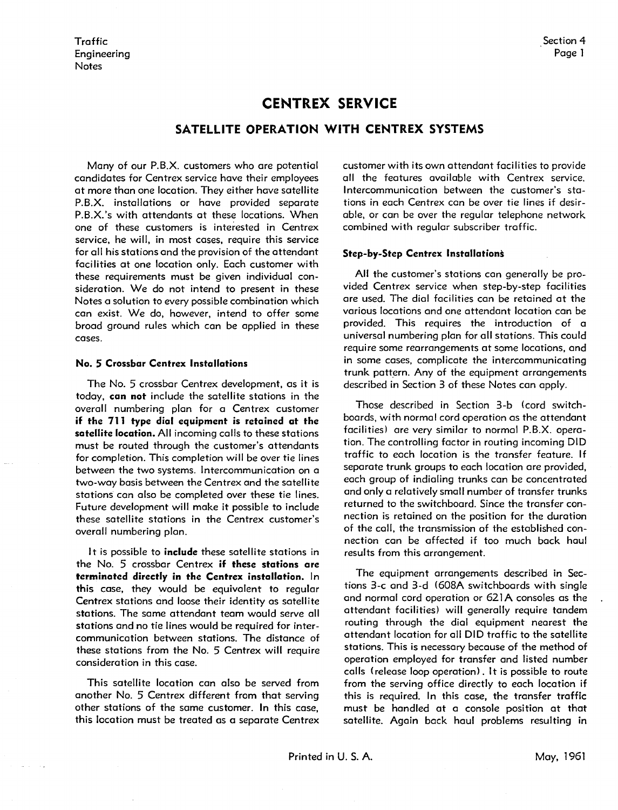## **CENTREX SERVICE**

## **SATELLITE OPERATION WITH CENTREX SYSTEMS**

Many of our P.B.X. customers who are potential candidates for Centrex service have their employees at more than one location. They either have satellite P.B.X. installations or have provided separate P.B.X.'s with attendants at these locations. When one of these customers is interested in Centrex service, he will, in most cases, require this service for all his stations and the provision of the attendant facilities at one location only. Each customer with these requirements must be given individual consideration. We do not intend to present in these Notes a solution to every possible combination which can exist. We do, however, intend to offer some broad ground rules which can be applied in these cases.

## **No. 5 Crossbar Centrex Installations**

The No. 5 crossbar Centrex development, as it is today, **can not** include the satellite stations in the overall numbering plan for a Centrex customer **if the 711 type dial equipment is retained at the satellite location.** All incoming calls to these stations must be routed through the customer's attendants for completion. This completion will be over tie lines between the two systems. Intercommunication on a two-way basis between the Centrex and the satellite stations can also be completed over these tie lines. Future development will make it possible to include these satellite stations in the Centrex customer's overall numbering plan.

It is possible to *include* these satellite stations in the No. 5 crossbar Centrex **if these stations are terminated directly in the Centrex installation.** In this case, they would be equivalent to regular Centrex stations and loose their identity as satellite stations. The same attendant team would serve all stations and no tie lines would be required for intercommunication between stations. The distance of these stations from the No. 5 Centrex will require consideration in this case.

This satellite location can also be served from another No. 5 Centrex different from that serving other stations of the same customer. In this case, this location must be treated as a separate Centrex

customer with its own attendant facilities to provide all the features available with Centrex service. Intercommunication between the customer's stations in each Centrex can be over tie lines if desirable, or can be over the regular telephone network combined with regular subscriber traffic.

## **Step-by-Step Centrex Installations**

**All** the customer's stations can generally be provided Centrex service when step-by-step facilities are used. The dial facilities can be retained at the various locations and one attendant location can be provided. This requires the introduction of a universal numbering plan for all stations. This could require some rearrangements at some locations, and in some cases, complicate the intercommunicating trunk pattern. Any of the equipment arrangements described in Section 3 of these Notes con apply.

Those described in Section 3-b (cord switchboards, with normal cord operation as the attendant facilities) are very similar to normal P.B.X. operation. The controlling factor in routing incoming DID traffic to each location is the transfer feature. If separate trunk groups to each location ore provided, each group of indialing trunks can be concentrated and only a relatively small number of transfer trunks returned to the switchboard. Since the transfer connection is retained on the position for the duration of the coll, the transmission of the established connection can be affected if too much back haul results from this arrangement.

The equipment arrangements described in Sections 3-c and 3-d (608A switchboards with single and normal cord operation or 621A consoles as the attendant facilities) will generally require tandem routing through the dial equipment nearest the attendant location for all DID traffic to the satellite stations. This is necessary because of the method of operation employed for transfer and listed number calls ( release loop operation) . It is possible to route from the serving office directly to each location if this is required. In this case, the transfer traffic must be handled at a console position at that satellite. Again bock haul problems resulting in